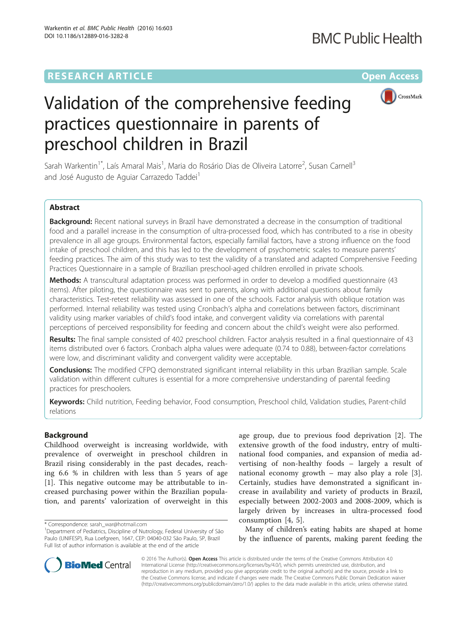# **RESEARCH ARTICLE External Structure Community Community Community Community Community Community Community Community**



# Validation of the comprehensive feeding practices questionnaire in parents of preschool children in Brazil

Sarah Warkentin<sup>1\*</sup>, Laís Amaral Mais<sup>1</sup>, Maria do Rosário Dias de Oliveira Latorre<sup>2</sup>, Susan Carnell<sup>3</sup> and José Augusto de Aguiar Carrazedo Taddei<sup>1</sup>

# Abstract

Background: Recent national surveys in Brazil have demonstrated a decrease in the consumption of traditional food and a parallel increase in the consumption of ultra-processed food, which has contributed to a rise in obesity prevalence in all age groups. Environmental factors, especially familial factors, have a strong influence on the food intake of preschool children, and this has led to the development of psychometric scales to measure parents' feeding practices. The aim of this study was to test the validity of a translated and adapted Comprehensive Feeding Practices Questionnaire in a sample of Brazilian preschool-aged children enrolled in private schools.

Methods: A transcultural adaptation process was performed in order to develop a modified questionnaire (43 items). After piloting, the questionnaire was sent to parents, along with additional questions about family characteristics. Test-retest reliability was assessed in one of the schools. Factor analysis with oblique rotation was performed. Internal reliability was tested using Cronbach's alpha and correlations between factors, discriminant validity using marker variables of child's food intake, and convergent validity via correlations with parental perceptions of perceived responsibility for feeding and concern about the child's weight were also performed.

Results: The final sample consisted of 402 preschool children. Factor analysis resulted in a final questionnaire of 43 items distributed over 6 factors. Cronbach alpha values were adequate (0.74 to 0.88), between-factor correlations were low, and discriminant validity and convergent validity were acceptable.

**Conclusions:** The modified CFPQ demonstrated significant internal reliability in this urban Brazilian sample. Scale validation within different cultures is essential for a more comprehensive understanding of parental feeding practices for preschoolers.

Keywords: Child nutrition, Feeding behavior, Food consumption, Preschool child, Validation studies, Parent-child relations

# Background

Childhood overweight is increasing worldwide, with prevalence of overweight in preschool children in Brazil rising considerably in the past decades, reaching 6.6 % in children with less than 5 years of age [[1\]](#page-10-0). This negative outcome may be attributable to increased purchasing power within the Brazilian population, and parents' valorization of overweight in this

age group, due to previous food deprivation [[2](#page-10-0)]. The extensive growth of the food industry, entry of multinational food companies, and expansion of media advertising of non-healthy foods – largely a result of national economy growth – may also play a role [\[3](#page-10-0)]. Certainly, studies have demonstrated a significant increase in availability and variety of products in Brazil, especially between 2002-2003 and 2008-2009, which is largely driven by increases in ultra-processed food consumption [[4, 5\]](#page-10-0).

Many of children's eating habits are shaped at home by the influence of parents, making parent feeding the



© 2016 The Author(s). Open Access This article is distributed under the terms of the Creative Commons Attribution 4.0 International License [\(http://creativecommons.org/licenses/by/4.0/](http://creativecommons.org/licenses/by/4.0/)), which permits unrestricted use, distribution, and reproduction in any medium, provided you give appropriate credit to the original author(s) and the source, provide a link to the Creative Commons license, and indicate if changes were made. The Creative Commons Public Domain Dedication waiver [\(http://creativecommons.org/publicdomain/zero/1.0/](http://creativecommons.org/publicdomain/zero/1.0/)) applies to the data made available in this article, unless otherwise stated.

<sup>\*</sup> Correspondence: [sarah\\_war@hotmail.com](mailto:sarah_war@hotmail.com) <sup>1</sup>

<sup>&</sup>lt;sup>1</sup>Department of Pediatrics, Discipline of Nutrology, Federal University of São Paulo (UNIFESP), Rua Loefgreen, 1647, CEP: 04040-032 São Paulo, SP, Brazil Full list of author information is available at the end of the article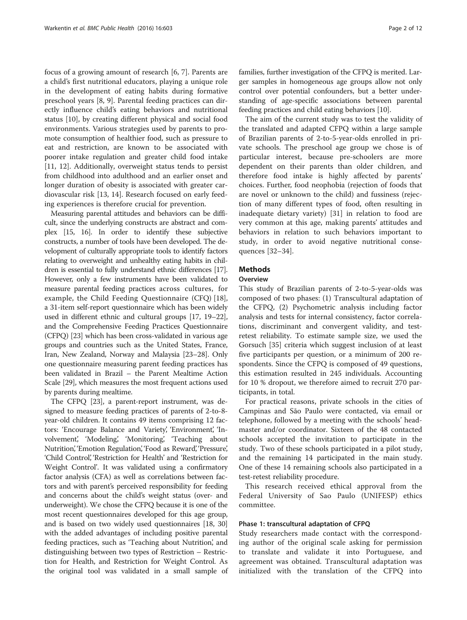focus of a growing amount of research [\[6](#page-10-0), [7](#page-11-0)]. Parents are a child's first nutritional educators, playing a unique role in the development of eating habits during formative preschool years [\[8](#page-11-0), [9](#page-11-0)]. Parental feeding practices can directly influence child's eating behaviors and nutritional status [[10\]](#page-11-0), by creating different physical and social food environments. Various strategies used by parents to promote consumption of healthier food, such as pressure to eat and restriction, are known to be associated with poorer intake regulation and greater child food intake [[11, 12](#page-11-0)]. Additionally, overweight status tends to persist from childhood into adulthood and an earlier onset and longer duration of obesity is associated with greater cardiovascular risk [[13, 14\]](#page-11-0). Research focused on early feeding experiences is therefore crucial for prevention.

Measuring parental attitudes and behaviors can be difficult, since the underlying constructs are abstract and complex [\[15](#page-11-0), [16\]](#page-11-0). In order to identify these subjective constructs, a number of tools have been developed. The development of culturally appropriate tools to identify factors relating to overweight and unhealthy eating habits in children is essential to fully understand ethnic differences [\[17](#page-11-0)]. However, only a few instruments have been validated to measure parental feeding practices across cultures, for example, the Child Feeding Questionnaire (CFQ) [[18](#page-11-0)], a 31-item self-report questionnaire which has been widely used in different ethnic and cultural groups [[17](#page-11-0), [19](#page-11-0)–[22](#page-11-0)], and the Comprehensive Feeding Practices Questionnaire (CFPQ) [\[23\]](#page-11-0) which has been cross-validated in various age groups and countries such as the United States, France, Iran, New Zealand, Norway and Malaysia [\[23](#page-11-0)–[28\]](#page-11-0). Only one questionnaire measuring parent feeding practices has been validated in Brazil – the Parent Mealtime Action Scale [[29](#page-11-0)], which measures the most frequent actions used by parents during mealtime.

The CFPQ [\[23\]](#page-11-0), a parent-report instrument, was designed to measure feeding practices of parents of 2-to-8 year-old children. It contains 49 items comprising 12 factors: 'Encourage Balance and Variety', 'Environment', 'Involvement', 'Modeling', 'Monitoring', 'Teaching about Nutrition', 'Emotion Regulation', 'Food as Reward', 'Pressure', 'Child Control', 'Restriction for Health' and 'Restriction for Weight Control'. It was validated using a confirmatory factor analysis (CFA) as well as correlations between factors and with parent's perceived responsibility for feeding and concerns about the child's weight status (over- and underweight). We chose the CFPQ because it is one of the most recent questionnaires developed for this age group, and is based on two widely used questionnaires [\[18, 30](#page-11-0)] with the added advantages of including positive parental feeding practices, such as 'Teaching about Nutrition', and distinguishing between two types of Restriction – Restriction for Health, and Restriction for Weight Control. As the original tool was validated in a small sample of

families, further investigation of the CFPQ is merited. Larger samples in homogeneous age groups allow not only control over potential confounders, but a better understanding of age-specific associations between parental feeding practices and child eating behaviors [\[10\]](#page-11-0).

The aim of the current study was to test the validity of the translated and adapted CFPQ within a large sample of Brazilian parents of 2-to-5-year-olds enrolled in private schools. The preschool age group we chose is of particular interest, because pre-schoolers are more dependent on their parents than older children, and therefore food intake is highly affected by parents' choices. Further, food neophobia (rejection of foods that are novel or unknown to the child) and fussiness (rejection of many different types of food, often resulting in inadequate dietary variety) [\[31](#page-11-0)] in relation to food are very common at this age, making parents' attitudes and behaviors in relation to such behaviors important to study, in order to avoid negative nutritional consequences [[32](#page-11-0)–[34](#page-11-0)].

# **Methods**

# **Overview**

This study of Brazilian parents of 2-to-5-year-olds was composed of two phases: (1) Transcultural adaptation of the CFPQ, (2) Psychometric analysis including factor analysis and tests for internal consistency, factor correlations, discriminant and convergent validity, and testretest reliability. To estimate sample size, we used the Gorsuch [\[35](#page-11-0)] criteria which suggest inclusion of at least five participants per question, or a minimum of 200 respondents. Since the CFPQ is composed of 49 questions, this estimation resulted in 245 individuals. Accounting for 10 % dropout, we therefore aimed to recruit 270 participants, in total.

For practical reasons, private schools in the cities of Campinas and São Paulo were contacted, via email or telephone, followed by a meeting with the schools' headmaster and/or coordinator. Sixteen of the 48 contacted schools accepted the invitation to participate in the study. Two of these schools participated in a pilot study, and the remaining 14 participated in the main study. One of these 14 remaining schools also participated in a test-retest reliability procedure.

This research received ethical approval from the Federal University of Sao Paulo (UNIFESP) ethics committee.

# Phase 1: transcultural adaptation of CFPQ

Study researchers made contact with the corresponding author of the original scale asking for permission to translate and validate it into Portuguese, and agreement was obtained. Transcultural adaptation was initialized with the translation of the CFPQ into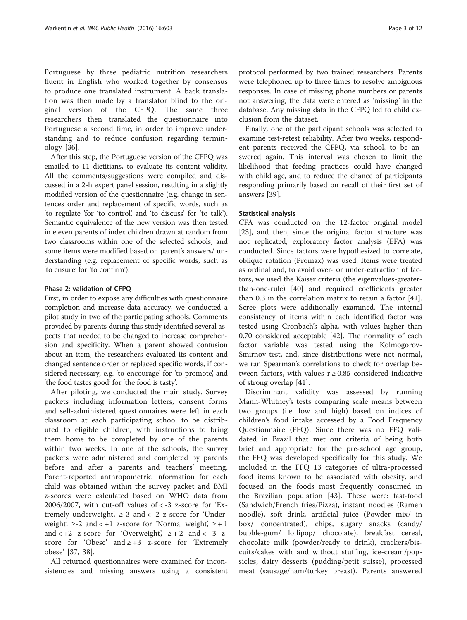Portuguese by three pediatric nutrition researchers fluent in English who worked together by consensus to produce one translated instrument. A back translation was then made by a translator blind to the original version of the CFPQ. The same three researchers then translated the questionnaire into Portuguese a second time, in order to improve understanding and to reduce confusion regarding terminology [\[36](#page-11-0)].

After this step, the Portuguese version of the CFPQ was emailed to 11 dietitians, to evaluate its content validity. All the comments/suggestions were compiled and discussed in a 2-h expert panel session, resulting in a slightly modified version of the questionnaire (e.g. change in sentences order and replacement of specific words, such as 'to regulate 'for 'to control', and 'to discuss' for 'to talk'). Semantic equivalence of the new version was then tested in eleven parents of index children drawn at random from two classrooms within one of the selected schools, and some items were modified based on parent's answers/ understanding (e.g. replacement of specific words, such as 'to ensure' for 'to confirm').

# Phase 2: validation of CFPQ

First, in order to expose any difficulties with questionnaire completion and increase data accuracy, we conducted a pilot study in two of the participating schools. Comments provided by parents during this study identified several aspects that needed to be changed to increase comprehension and specificity. When a parent showed confusion about an item, the researchers evaluated its content and changed sentence order or replaced specific words, if considered necessary, e.g. 'to encourage' for 'to promote', and 'the food tastes good' for 'the food is tasty'.

After piloting, we conducted the main study. Survey packets including information letters, consent forms and self-administered questionnaires were left in each classroom at each participating school to be distributed to eligible children, with instructions to bring them home to be completed by one of the parents within two weeks. In one of the schools, the survey packets were administered and completed by parents before and after a parents and teachers' meeting. Parent-reported anthropometric information for each child was obtained within the survey packet and BMI z-scores were calculated based on WHO data from 2006/2007, with cut-off values of  $\langle$  -3 z-score for 'Extremely underweight',  $\geq$ -3 and < -2 z-score for 'Underweight',  $\geq$ -2 and < +1 z-score for 'Normal weight',  $\geq$  + 1 and  $\lt +2$  z-score for 'Overweight',  $\ge +2$  and  $\lt +3$  zscore for 'Obese' and  $\ge +3$  z-score for 'Extremely obese' [\[37](#page-11-0), [38](#page-11-0)].

All returned questionnaires were examined for inconsistencies and missing answers using a consistent

protocol performed by two trained researchers. Parents were telephoned up to three times to resolve ambiguous responses. In case of missing phone numbers or parents not answering, the data were entered as 'missing' in the database. Any missing data in the CFPQ led to child exclusion from the dataset.

Finally, one of the participant schools was selected to examine test-retest reliability. After two weeks, respondent parents received the CFPQ, via school, to be answered again. This interval was chosen to limit the likelihood that feeding practices could have changed with child age, and to reduce the chance of participants responding primarily based on recall of their first set of answers [\[39\]](#page-11-0).

# Statistical analysis

CFA was conducted on the 12-factor original model [[23\]](#page-11-0), and then, since the original factor structure was not replicated, exploratory factor analysis (EFA) was conducted. Since factors were hypothesized to correlate, oblique rotation (Promax) was used. Items were treated as ordinal and, to avoid over- or under-extraction of factors, we used the Kaiser criteria (the eigenvalues-greaterthan-one-rule) [\[40](#page-11-0)] and required coefficients greater than 0.3 in the correlation matrix to retain a factor [\[41](#page-11-0)]. Scree plots were additionally examined. The internal consistency of items within each identified factor was tested using Cronbach's alpha, with values higher than 0.70 considered acceptable [\[42](#page-11-0)]. The normality of each factor variable was tested using the Kolmogorov-Smirnov test, and, since distributions were not normal, we ran Spearman's correlations to check for overlap between factors, with values  $r \geq 0.85$  considered indicative of strong overlap [\[41](#page-11-0)].

Discriminant validity was assessed by running Mann-Whitney's tests comparing scale means between two groups (i.e. low and high) based on indices of children's food intake accessed by a Food Frequency Questionnaire (FFQ). Since there was no FFQ validated in Brazil that met our criteria of being both brief and appropriate for the pre-school age group, the FFQ was developed specifically for this study. We included in the FFQ 13 categories of ultra-processed food items known to be associated with obesity, and focused on the foods most frequently consumed in the Brazilian population [\[43](#page-11-0)]. These were: fast-food (Sandwich/French fries/Pizza), instant noodles (Ramen noodle), soft drink, artificial juice (Powder mix/ in box/ concentrated), chips, sugary snacks (candy/ bubble-gum/ lollipop/ chocolate), breakfast cereal, chocolate milk (powder/ready to drink), crackers/biscuits/cakes with and without stuffing, ice-cream/popsicles, dairy desserts (pudding/petit suisse), processed meat (sausage/ham/turkey breast). Parents answered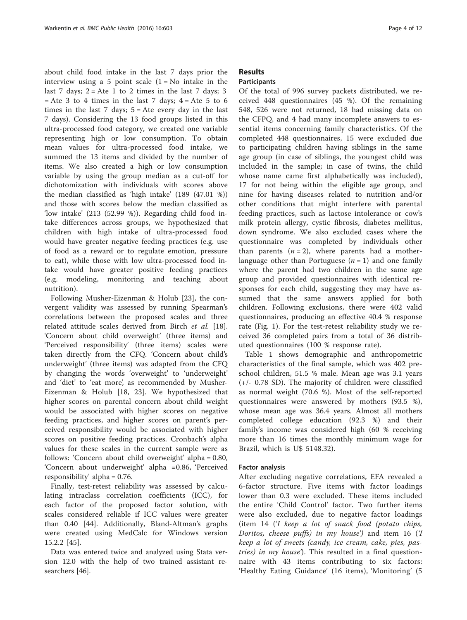about child food intake in the last 7 days prior the interview using a 5 point scale  $(1 = No)$  intake in the last 7 days;  $2 =$  Ate 1 to 2 times in the last 7 days; 3  $=$  Ate 3 to 4 times in the last 7 days;  $4 =$  Ate 5 to 6 times in the last  $7$  days;  $5 =$  Ate every day in the last 7 days). Considering the 13 food groups listed in this ultra-processed food category, we created one variable representing high or low consumption. To obtain mean values for ultra-processed food intake, we summed the 13 items and divided by the number of items. We also created a high or low consumption variable by using the group median as a cut-off for dichotomization with individuals with scores above the median classified as 'high intake' (189 (47.01 %)) and those with scores below the median classified as 'low intake' (213 (52.99 %)). Regarding child food intake differences across groups, we hypothesized that children with high intake of ultra-processed food would have greater negative feeding practices (e.g. use of food as a reward or to regulate emotion, pressure to eat), while those with low ultra-processed food intake would have greater positive feeding practices (e.g. modeling, monitoring and teaching about nutrition).

Following Musher-Eizenman & Holub [[23\]](#page-11-0), the convergent validity was assessed by running Spearman's correlations between the proposed scales and three related attitude scales derived from Birch et al. [\[18](#page-11-0)]. 'Concern about child overweight' (three items) and 'Perceived responsibility' (three items) scales were taken directly from the CFQ. 'Concern about child's underweight' (three items) was adapted from the CFQ by changing the words 'overweight' to 'underweight' and 'diet' to 'eat more', as recommended by Musher-Eizenman & Holub [[18, 23](#page-11-0)]. We hypothesized that higher scores on parental concern about child weight would be associated with higher scores on negative feeding practices, and higher scores on parent's perceived responsibility would be associated with higher scores on positive feeding practices. Cronbach's alpha values for these scales in the current sample were as follows: 'Concern about child overweight' alpha = 0.80, 'Concern about underweight' alpha =0.86, 'Perceived responsibility' alpha  $= 0.76$ .

Finally, test-retest reliability was assessed by calculating intraclass correlation coefficients (ICC), for each factor of the proposed factor solution, with scales considered reliable if ICC values were greater than 0.40 [[44\]](#page-11-0). Additionally, Bland-Altman's graphs were created using MedCalc for Windows version 15.2.2 [\[45](#page-11-0)].

Data was entered twice and analyzed using Stata version 12.0 with the help of two trained assistant researchers [[46](#page-11-0)].

# Results

# **Participants**

Of the total of 996 survey packets distributed, we received 448 questionnaires (45 %). Of the remaining 548, 526 were not returned, 18 had missing data on the CFPQ, and 4 had many incomplete answers to essential items concerning family characteristics. Of the completed 448 questionnaires, 15 were excluded due to participating children having siblings in the same age group (in case of siblings, the youngest child was included in the sample; in case of twins, the child whose name came first alphabetically was included), 17 for not being within the eligible age group, and nine for having diseases related to nutrition and/or other conditions that might interfere with parental feeding practices, such as lactose intolerance or cow's milk protein allergy, cystic fibrosis, diabetes mellitus, down syndrome. We also excluded cases where the questionnaire was completed by individuals other than parents  $(n = 2)$ , where parents had a motherlanguage other than Portuguese  $(n = 1)$  and one family where the parent had two children in the same age group and provided questionnaires with identical responses for each child, suggesting they may have assumed that the same answers applied for both children. Following exclusions, there were 402 valid questionnaires, producing an effective 40.4 % response rate (Fig. [1\)](#page-4-0). For the test-retest reliability study we received 36 completed pairs from a total of 36 distributed questionnaires (100 % response rate).

Table [1](#page-5-0) shows demographic and anthropometric characteristics of the final sample, which was 402 preschool children, 51.5 % male. Mean age was 3.1 years (+/- 0.78 SD). The majority of children were classified as normal weight (70.6 %). Most of the self-reported questionnaires were answered by mothers (93.5 %), whose mean age was 36.4 years. Almost all mothers completed college education (92.3 %) and their family's income was considered high (60 % receiving more than 16 times the monthly minimum wage for Brazil, which is U\$ 5148.32).

# Factor analysis

After excluding negative correlations, EFA revealed a 6-factor structure. Five items with factor loadings lower than 0.3 were excluded. These items included the entire 'Child Control' factor. Two further items were also excluded, due to negative factor loadings (item 14 ('I keep a lot of snack food (potato chips, Doritos, cheese puffs) in my house') and item 16 ('I keep a lot of sweets (candy, ice cream, cake, pies, pastries) in my house'). This resulted in a final questionnaire with 43 items contributing to six factors: 'Healthy Eating Guidance' (16 items), 'Monitoring' (5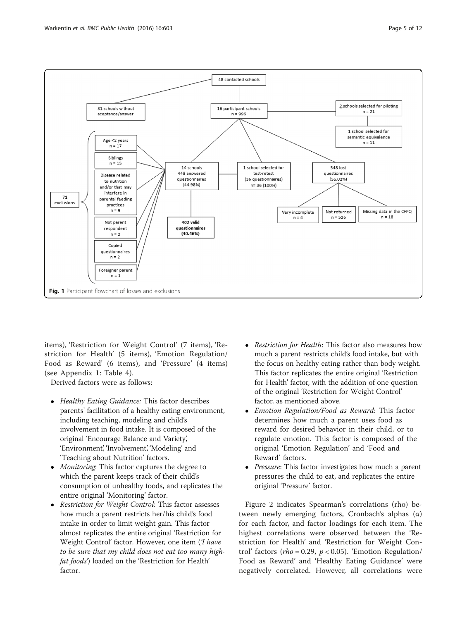<span id="page-4-0"></span>

items), 'Restriction for Weight Control' (7 items), 'Restriction for Health' (5 items), 'Emotion Regulation/ Food as Reward' (6 items), and 'Pressure' (4 items) (see Appendix 1: Table 4).

Derived factors were as follows:

- Healthy Eating Guidance: This factor describes parents' facilitation of a healthy eating environment, including teaching, modeling and child's involvement in food intake. It is composed of the original 'Encourage Balance and Variety', 'Environment', 'Involvement', 'Modeling' and 'Teaching about Nutrition' factors.
- *Monitoring*: This factor captures the degree to which the parent keeps track of their child's consumption of unhealthy foods, and replicates the entire original 'Monitoring' factor.
- Restriction for Weight Control: This factor assesses how much a parent restricts her/his child's food intake in order to limit weight gain. This factor almost replicates the entire original 'Restriction for Weight Control' factor. However, one item (Thave to be sure that my child does not eat too many highfat foods') loaded on the 'Restriction for Health' factor.
- Restriction for Health: This factor also measures how much a parent restricts child's food intake, but with the focus on healthy eating rather than body weight. This factor replicates the entire original 'Restriction for Health' factor, with the addition of one question of the original 'Restriction for Weight Control' factor, as mentioned above.
- Emotion Regulation/Food as Reward: This factor determines how much a parent uses food as reward for desired behavior in their child, or to regulate emotion. This factor is composed of the original 'Emotion Regulation' and 'Food and Reward' factors.
- *Pressure*: This factor investigates how much a parent pressures the child to eat, and replicates the entire original 'Pressure' factor.

Figure [2](#page-6-0) indicates Spearman's correlations (rho) between newly emerging factors, Cronbach's alphas (α) for each factor, and factor loadings for each item. The highest correlations were observed between the 'Restriction for Health' and 'Restriction for Weight Control' factors ( $rho = 0.29$ ,  $p < 0.05$ ). 'Emotion Regulation/ Food as Reward' and 'Healthy Eating Guidance' were negatively correlated. However, all correlations were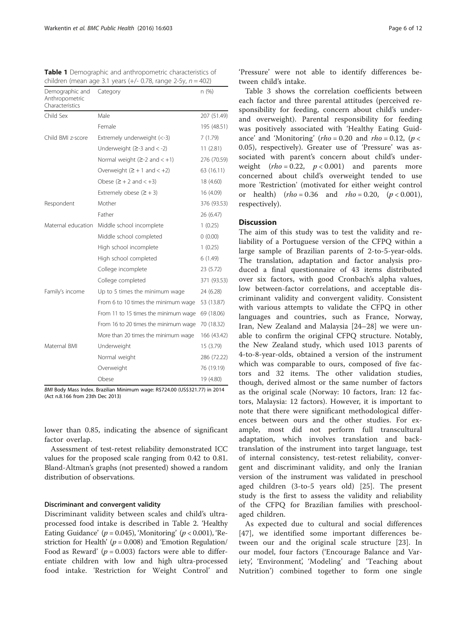<span id="page-5-0"></span>

| <b>Table 1</b> Demographic and anthropometric characteristics of   |  |
|--------------------------------------------------------------------|--|
| children (mean age 3.1 years $(+/- 0.78$ , range 2-5y, $n = 402$ ) |  |

| Demographic and<br>Anthropometric<br>Characteristics | Category                             | n (%)       |
|------------------------------------------------------|--------------------------------------|-------------|
| Child Sex                                            | Male                                 | 207 (51.49) |
|                                                      | Female                               | 195 (48.51) |
| Child BMI z-score                                    | Extremely underweight (<-3)          | 7(1.79)     |
|                                                      | Underweight $(2-3$ and $<-2)$        | 11(2.81)    |
|                                                      | Normal weight $(2-2$ and $< +1)$     | 276 (70.59) |
|                                                      | Overweight $(2 + 1$ and $< +2)$      | 63 (16.11)  |
|                                                      | Obese $(2 + 2$ and $\lt +3)$         | 18 (4.60)   |
|                                                      | Extremely obese $(2 + 3)$            | 16 (4.09)   |
| Respondent                                           | Mother                               | 376 (93.53) |
|                                                      | Father                               | 26 (6.47)   |
| Maternal education                                   | Middle school incomplete             | 1(0.25)     |
|                                                      | Middle school completed              | 0(0.00)     |
|                                                      | High school incomplete               | 1(0.25)     |
|                                                      | High school completed                | 6(1.49)     |
|                                                      | College incomplete                   | 23 (5.72)   |
|                                                      | College completed                    | 371 (93.53) |
| Family's income                                      | Up to 5 times the minimum wage       | 24 (6.28)   |
|                                                      | From 6 to 10 times the minimum wage  | 53 (13.87)  |
|                                                      | From 11 to 15 times the minimum wage | 69 (18.06)  |
|                                                      | From 16 to 20 times the minimum wage | 70 (18.32)  |
|                                                      | More than 20 times the minimum wage  | 166 (43.42) |
| Maternal BMI                                         | Underweight                          | 15 (3.79)   |
|                                                      | Normal weight                        | 286 (72.22) |
|                                                      | Overweight                           | 76 (19.19)  |
|                                                      | Obese                                | 19 (4.80)   |

BMI Body Mass Index. Brazilian Minimum wage: R\$724.00 (US\$321.77) in 2014 (Act n.8.166 from 23th Dec 2013)

lower than 0.85, indicating the absence of significant factor overlap.

Assessment of test-retest reliability demonstrated ICC values for the proposed scale ranging from 0.42 to 0.81. Bland-Altman's graphs (not presented) showed a random distribution of observations.

# Discriminant and convergent validity

Discriminant validity between scales and child's ultraprocessed food intake is described in Table [2](#page-6-0). 'Healthy Eating Guidance' ( $p = 0.045$ ), 'Monitoring' ( $p < 0.001$ ), 'Restriction for Health' ( $p = 0.008$ ) and 'Emotion Regulation/ Food as Reward' ( $p = 0.003$ ) factors were able to differentiate children with low and high ultra-processed food intake. 'Restriction for Weight Control' and 'Pressure' were not able to identify differences between child's intake.

Table [3](#page-7-0) shows the correlation coefficients between each factor and three parental attitudes (perceived responsibility for feeding, concern about child's underand overweight). Parental responsibility for feeding was positively associated with 'Healthy Eating Guidance' and 'Monitoring'  $(rh_0 = 0.20$  and  $rh_0 = 0.12$ ,  $(p <$ 0.05), respectively). Greater use of 'Pressure' was associated with parent's concern about child's underweight  $(rho = 0.22, p < 0.001)$  and parents more concerned about child's overweight tended to use more 'Restriction' (motivated for either weight control or health)  $(rho = 0.36$  and  $rho = 0.20$ ,  $(p < 0.001)$ , respectively).

# **Discussion**

The aim of this study was to test the validity and reliability of a Portuguese version of the CFPQ within a large sample of Brazilian parents of 2-to-5-year-olds. The translation, adaptation and factor analysis produced a final questionnaire of 43 items distributed over six factors, with good Cronbach's alpha values, low between-factor correlations, and acceptable discriminant validity and convergent validity. Consistent with various attempts to validate the CFPQ in other languages and countries, such as France, Norway, Iran, New Zealand and Malaysia [\[24](#page-11-0)–[28](#page-11-0)] we were unable to confirm the original CFPQ structure. Notably, the New Zealand study, which used 1013 parents of 4-to-8-year-olds, obtained a version of the instrument which was comparable to ours, composed of five factors and 32 items. The other validation studies, though, derived almost or the same number of factors as the original scale (Norway: 10 factors, Iran: 12 factors, Malaysia: 12 factors). However, it is important to note that there were significant methodological differences between ours and the other studies. For example, most did not perform full transcultural adaptation, which involves translation and backtranslation of the instrument into target language, test of internal consistency, test-retest reliability, convergent and discriminant validity, and only the Iranian version of the instrument was validated in preschool aged children (3-to-5 years old) [\[25](#page-11-0)]. The present study is the first to assess the validity and reliability of the CFPQ for Brazilian families with preschoolaged children.

As expected due to cultural and social differences [[47\]](#page-11-0), we identified some important differences between our and the original scale structure [[23](#page-11-0)]. In our model, four factors ('Encourage Balance and Variety', 'Environment', 'Modeling' and 'Teaching about Nutrition') combined together to form one single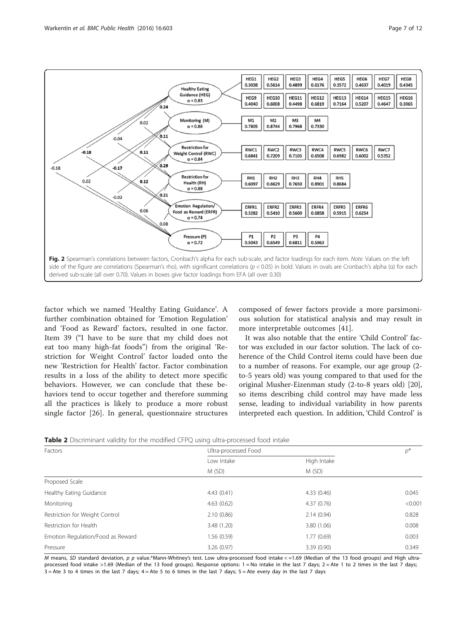<span id="page-6-0"></span>

factor which we named 'Healthy Eating Guidance'. A further combination obtained for 'Emotion Regulation' and 'Food as Reward' factors, resulted in one factor. Item 39 ("I have to be sure that my child does not eat too many high-fat foods") from the original 'Restriction for Weight Control' factor loaded onto the new 'Restriction for Health' factor. Factor combination results in a loss of the ability to detect more specific behaviors. However, we can conclude that these behaviors tend to occur together and therefore summing all the practices is likely to produce a more robust single factor [\[26](#page-11-0)]. In general, questionnaire structures composed of fewer factors provide a more parsimonious solution for statistical analysis and may result in more interpretable outcomes [[41](#page-11-0)].

It was also notable that the entire 'Child Control' factor was excluded in our factor solution. The lack of coherence of the Child Control items could have been due to a number of reasons. For example, our age group (2 to-5 years old) was young compared to that used for the original Musher-Eizenman study (2-to-8 years old) [\[20](#page-11-0)], so items describing child control may have made less sense, leading to individual variability in how parents interpreted each question. In addition, 'Child Control' is

| Factors                           | Ultra-processed Food |                      | $p^*$   |
|-----------------------------------|----------------------|----------------------|---------|
|                                   | Low Intake<br>M(SD)  | High Intake<br>M(SD) |         |
|                                   |                      |                      |         |
| Proposed Scale                    |                      |                      |         |
| Healthy Eating Guidance           | 4.43(0.41)           | 4.33(0.46)           | 0.045   |
| Monitoring                        | 4.63(0.62)           | 4.37(0.76)           | < 0.001 |
| Restriction for Weight Control    | 2.10(0.86)           | 2.14(0.94)           | 0.828   |
| Restriction for Health            | 3.48 (1.20)          | 3.80 (1.06)          | 0.008   |
| Emotion Regulation/Food as Reward | 1.56(0.59)           | 1.77(0.69)           | 0.003   |
| Pressure                          | 3.26(0.97)           | 3.39(0.90)           | 0.349   |

M means, SD standard deviation, p p value.\*Mann-Whitney's test. Low ultra-processed food intake < =1.69 (Median of the 13 food groups) and High ultraprocessed food intake >1.69 (Median of the 13 food groups). Response options: 1 = No intake in the last 7 days; 2 = Ate 1 to 2 times in the last 7 days;  $3 =$  Ate 3 to 4 times in the last 7 days;  $4 =$  Ate 5 to 6 times in the last 7 days;  $5 =$  Ate every day in the last 7 days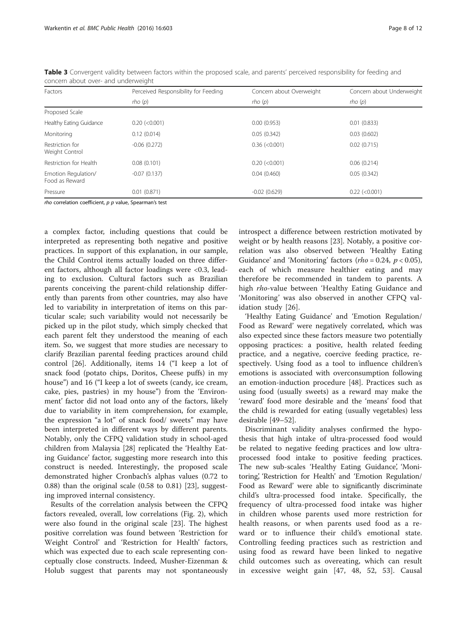| Factors                               | Perceived Responsibility for Feeding | Concern about Overweight | Concern about Underweight |
|---------------------------------------|--------------------------------------|--------------------------|---------------------------|
|                                       | rho(p)                               | rho(p)                   | rho(p)                    |
| Proposed Scale                        |                                      |                          |                           |
| Healthy Eating Guidance               | $0.20$ (< $0.001$ )                  | 0.00(0.953)              | 0.01(0.833)               |
| Monitoring                            | 0.12(0.014)                          | 0.05(0.342)              | 0.03(0.602)               |
| Restriction for<br>Weight Control     | $-0.06(0.272)$                       | $0.36$ (< $0.001$ )      | 0.02(0.715)               |
| Restriction for Health                | 0.08(0.101)                          | $0.20$ (< $0.001$ )      | 0.06(0.214)               |
| Emotion Regulation/<br>Food as Reward | $-0.07(0.137)$                       | 0.04(0.460)              | 0.05(0.342)               |
| Pressure                              | 0.01(0.871)                          | $-0.02(0.629)$           | $0.22$ (< $0.001$ )       |

<span id="page-7-0"></span>Table 3 Convergent validity between factors within the proposed scale, and parents' perceived responsibility for feeding and concern about over- and underweight

rho correlation coefficient,  $p$   $p$  value, Spearman's test

a complex factor, including questions that could be interpreted as representing both negative and positive practices. In support of this explanation, in our sample, the Child Control items actually loaded on three different factors, although all factor loadings were <0.3, leading to exclusion. Cultural factors such as Brazilian parents conceiving the parent-child relationship differently than parents from other countries, may also have led to variability in interpretation of items on this particular scale; such variability would not necessarily be picked up in the pilot study, which simply checked that each parent felt they understood the meaning of each item. So, we suggest that more studies are necessary to clarify Brazilian parental feeding practices around child control [[26\]](#page-11-0). Additionally, items 14 ("I keep a lot of snack food (potato chips, Doritos, Cheese puffs) in my house") and 16 ("I keep a lot of sweets (candy, ice cream, cake, pies, pastries) in my house") from the 'Environment' factor did not load onto any of the factors, likely due to variability in item comprehension, for example, the expression "a lot" of snack food/ sweets" may have been interpreted in different ways by different parents. Notably, only the CFPQ validation study in school-aged children from Malaysia [[28\]](#page-11-0) replicated the 'Healthy Eating Guidance' factor, suggesting more research into this construct is needed. Interestingly, the proposed scale demonstrated higher Cronbach's alphas values (0.72 to 0.88) than the original scale (0.58 to 0.81) [[23](#page-11-0)], suggesting improved internal consistency.

Results of the correlation analysis between the CFPQ factors revealed, overall, low correlations (Fig. [2](#page-6-0)), which were also found in the original scale [\[23\]](#page-11-0). The highest positive correlation was found between 'Restriction for Weight Control' and 'Restriction for Health' factors, which was expected due to each scale representing conceptually close constructs. Indeed, Musher-Eizenman & Holub suggest that parents may not spontaneously introspect a difference between restriction motivated by weight or by health reasons [\[23](#page-11-0)]. Notably, a positive correlation was also observed between 'Healthy Eating Guidance' and 'Monitoring' factors ( $rho = 0.24$ ,  $p < 0.05$ ), each of which measure healthier eating and may therefore be recommended in tandem to parents. A high *rho-value between* 'Healthy Eating Guidance and 'Monitoring' was also observed in another CFPQ validation study [\[26](#page-11-0)].

'Healthy Eating Guidance' and 'Emotion Regulation/ Food as Reward' were negatively correlated, which was also expected since these factors measure two potentially opposing practices: a positive, health related feeding practice, and a negative, coercive feeding practice, respectively. Using food as a tool to influence children's emotions is associated with overconsumption following an emotion-induction procedure [[48\]](#page-11-0). Practices such as using food (usually sweets) as a reward may make the 'reward' food more desirable and the 'means' food that the child is rewarded for eating (usually vegetables) less desirable [[49](#page-11-0)–[52](#page-11-0)].

Discriminant validity analyses confirmed the hypothesis that high intake of ultra-processed food would be related to negative feeding practices and low ultraprocessed food intake to positive feeding practices. The new sub-scales 'Healthy Eating Guidance', 'Monitoring', 'Restriction for Health' and 'Emotion Regulation/ Food as Reward' were able to significantly discriminate child's ultra-processed food intake. Specifically, the frequency of ultra-processed food intake was higher in children whose parents used more restriction for health reasons, or when parents used food as a reward or to influence their child's emotional state. Controlling feeding practices such as restriction and using food as reward have been linked to negative child outcomes such as overeating, which can result in excessive weight gain [[47, 48, 52](#page-11-0), [53](#page-11-0)]. Causal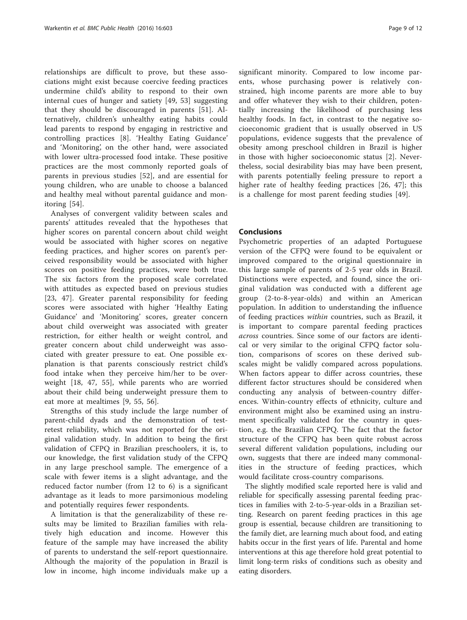relationships are difficult to prove, but these associations might exist because coercive feeding practices undermine child's ability to respond to their own internal cues of hunger and satiety [[49, 53](#page-11-0)] suggesting that they should be discouraged in parents [[51\]](#page-11-0). Alternatively, children's unhealthy eating habits could lead parents to respond by engaging in restrictive and controlling practices [\[8](#page-11-0)]. 'Healthy Eating Guidance' and 'Monitoring', on the other hand, were associated with lower ultra-processed food intake. These positive practices are the most commonly reported goals of parents in previous studies [[52\]](#page-11-0), and are essential for young children, who are unable to choose a balanced and healthy meal without parental guidance and monitoring [[54\]](#page-11-0).

Analyses of convergent validity between scales and parents' attitudes revealed that the hypotheses that higher scores on parental concern about child weight would be associated with higher scores on negative feeding practices, and higher scores on parent's perceived responsibility would be associated with higher scores on positive feeding practices, were both true. The six factors from the proposed scale correlated with attitudes as expected based on previous studies [[23, 47\]](#page-11-0). Greater parental responsibility for feeding scores were associated with higher 'Healthy Eating Guidance' and 'Monitoring' scores, greater concern about child overweight was associated with greater restriction, for either health or weight control, and greater concern about child underweight was associated with greater pressure to eat. One possible explanation is that parents consciously restrict child's food intake when they perceive him/her to be overweight [\[18](#page-11-0), [47, 55\]](#page-11-0), while parents who are worried about their child being underweight pressure them to eat more at mealtimes [[9, 55, 56](#page-11-0)].

Strengths of this study include the large number of parent-child dyads and the demonstration of testretest reliability, which was not reported for the original validation study. In addition to being the first validation of CFPQ in Brazilian preschoolers, it is, to our knowledge, the first validation study of the CFPQ in any large preschool sample. The emergence of a scale with fewer items is a slight advantage, and the reduced factor number (from 12 to 6) is a significant advantage as it leads to more parsimonious modeling and potentially requires fewer respondents.

A limitation is that the generalizability of these results may be limited to Brazilian families with relatively high education and income. However this feature of the sample may have increased the ability of parents to understand the self-report questionnaire. Although the majority of the population in Brazil is low in income, high income individuals make up a

significant minority. Compared to low income parents, whose purchasing power is relatively constrained, high income parents are more able to buy and offer whatever they wish to their children, potentially increasing the likelihood of purchasing less healthy foods. In fact, in contrast to the negative socioeconomic gradient that is usually observed in US populations, evidence suggests that the prevalence of obesity among preschool children in Brazil is higher in those with higher socioeconomic status [\[2](#page-10-0)]. Nevertheless, social desirability bias may have been present, with parents potentially feeling pressure to report a higher rate of healthy feeding practices [[26, 47](#page-11-0)]; this is a challenge for most parent feeding studies [[49\]](#page-11-0).

# **Conclusions**

Psychometric properties of an adapted Portuguese version of the CFPQ were found to be equivalent or improved compared to the original questionnaire in this large sample of parents of 2-5 year olds in Brazil. Distinctions were expected, and found, since the original validation was conducted with a different age group (2-to-8-year-olds) and within an American population. In addition to understanding the influence of feeding practices within countries, such as Brazil, it is important to compare parental feeding practices across countries. Since some of our factors are identical or very similar to the original CFPQ factor solution, comparisons of scores on these derived subscales might be validly compared across populations. When factors appear to differ across countries, these different factor structures should be considered when conducting any analysis of between-country differences. Within-country effects of ethnicity, culture and environment might also be examined using an instrument specifically validated for the country in question, e.g. the Brazilian CFPQ. The fact that the factor structure of the CFPQ has been quite robust across several different validation populations, including our own, suggests that there are indeed many commonalities in the structure of feeding practices, which would facilitate cross-country comparisons.

The slightly modified scale reported here is valid and reliable for specifically assessing parental feeding practices in families with 2-to-5-year-olds in a Brazilian setting. Research on parent feeding practices in this age group is essential, because children are transitioning to the family diet, are learning much about food, and eating habits occur in the first years of life. Parental and home interventions at this age therefore hold great potential to limit long-term risks of conditions such as obesity and eating disorders.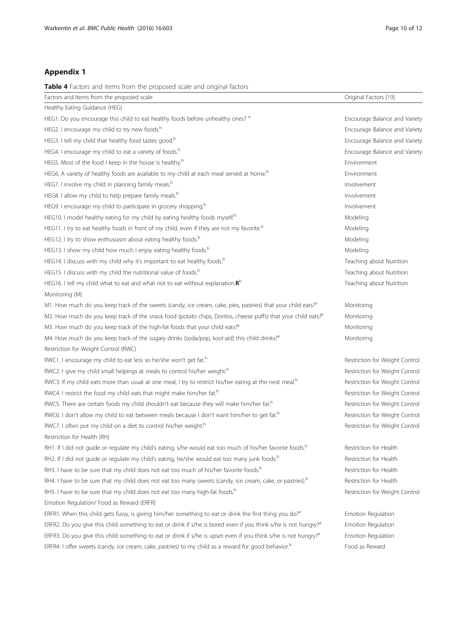# Appendix 1

Table 4 Factors and items from the proposed scale and original factors

| able <b>T</b> Lactors and Items from the proposed seale and onginal factors                                                 |                                |
|-----------------------------------------------------------------------------------------------------------------------------|--------------------------------|
| Factors and Items from the proposed scale                                                                                   | Original Factors [19]          |
| Healthy Eating Guidance (HEG)                                                                                               |                                |
| HEG1. Do you encourage this child to eat healthy foods before unhealthy ones? <sup>a</sup>                                  | Encourage Balance and Variety  |
| HEG2. I encourage my child to try new foods. <sup>b</sup>                                                                   | Encourage Balance and Variety  |
| HEG3. I tell my child that healthy food tastes good. <sup>b</sup>                                                           | Encourage Balance and Variety  |
| HEG4. I encourage my child to eat a variety of foods. <sup>b</sup>                                                          | Encourage Balance and Variety  |
| HEG5. Most of the food I keep in the house is healthy. <sup>b</sup>                                                         | Environment                    |
| HEG6. A variety of healthy foods are available to my child at each meal served at home. <sup>b</sup>                        | Environment                    |
| HEG7. I involve my child in planning family meals. <sup>b</sup>                                                             | Involvement                    |
| HEG8. I allow my child to help prepare family meals. <sup>b</sup>                                                           | Involvement                    |
| HEG9. I encourage my child to participate in grocery shopping. <sup>b</sup>                                                 | Involvement                    |
| HEG10. I model healthy eating for my child by eating healthy foods myself. <sup>b</sup>                                     | Modeling                       |
| HEG11. I try to eat healthy foods in front of my child, even if they are not my favorite. <sup>b</sup>                      | Modeling                       |
| HEG12. I try to show enthusiasm about eating healthy foods. <sup>b</sup>                                                    | Modeling                       |
| HEG13. I show my child how much I enjoy eating healthy foods. <sup>b</sup>                                                  | Modeling                       |
| HEG14. I discuss with my child why it's important to eat healthy foods. <sup>b</sup>                                        | Teaching about Nutrition       |
| HEG15. I discuss with my child the nutritional value of foods. <sup>b</sup>                                                 | Teaching about Nutrition       |
| HEG16. I tell my child what to eat and what not to eat without explanation. $\mathbb{R}^D$                                  | Teaching about Nutrition       |
| Monitoring (M)                                                                                                              |                                |
| M1. How much do you keep track of the sweets (candy, ice cream, cake, pies, pastries) that your child eats? <sup>a</sup>    | Monitoring                     |
| M2. How much do you keep track of the snack food (potato chips, Doritos, cheese puffs) that your child eats? <sup>a</sup>   | Monitoring                     |
| M3. How much do you keep track of the high-fat foods that your child eats? <sup>a</sup>                                     | Monitoring                     |
| M4. How much do you keep track of the sugary drinks (soda/pop, kool-aid) this child drinks? <sup>a</sup>                    | Monitoring                     |
| Restriction for Weight Control (RWC)                                                                                        |                                |
| RWC1. I encourage my child to eat less so he/she won't get fat. <sup>b</sup>                                                | Restriction for Weight Control |
| RWC2. I give my child small helpings at meals to control his/her weight. <sup>b</sup>                                       | Restriction for Weight Control |
| RWC3. If my child eats more than usual at one meal, I try to restrict his/her eating at the next meal. <sup>b</sup>         | Restriction for Weight Control |
| RWC4. I restrict the food my child eats that might make him/her fat. <sup>b</sup>                                           | Restriction for Weight Control |
| RWC5. There are certain foods my child shouldn't eat because they will make him/her fat. <sup>b</sup>                       | Restriction for Weight Control |
| RWC6. I don't allow my child to eat between meals because I don't want him/her to get fat. <sup>b</sup>                     | Restriction for Weight Control |
| RWC7. I often put my child on a diet to control his/her weight. <sup>b</sup>                                                | Restriction for Weight Control |
| Restriction for Health (RH)                                                                                                 |                                |
| RH1. If I did not guide or regulate my child's eating, s/he would eat too much of his/her favorite foods. <sup>b</sup>      | Restriction for Health         |
| RH2. If I did not guide or regulate my child's eating, he/she would eat too many junk foods. <sup>b</sup>                   | Restriction for Health         |
| RH3. I have to be sure that my child does not eat too much of his/her favorite foods. <sup>b</sup>                          | Restriction for Health         |
| RH4. I have to be sure that my child does not eat too many sweets (candy, ice cream, cake, or pastries). <sup>b</sup>       | Restriction for Health         |
| RH5. I have to be sure that my child does not eat too many high-fat foods. <sup>b</sup>                                     | Restriction for Weight Control |
| Emotion Regulation/ Food as Reward (ERFR)                                                                                   |                                |
| ERFR1. When this child gets fussy, is giving him/her something to eat or drink the first thing you do? <sup>a</sup>         | Emotion Regulation             |
| ERFR2. Do you give this child something to eat or drink if s/he is bored even if you think s/he is not hungry? <sup>a</sup> | Emotion Regulation             |
| ERFR3. Do you give this child something to eat or drink if s/he is upset even if you think s/he is not hungry? <sup>a</sup> | Emotion Regulation             |
| ERFR4. I offer sweets (candy, ice cream, cake, pastries) to my child as a reward for good behavior. <sup>b</sup>            | Food as Reward                 |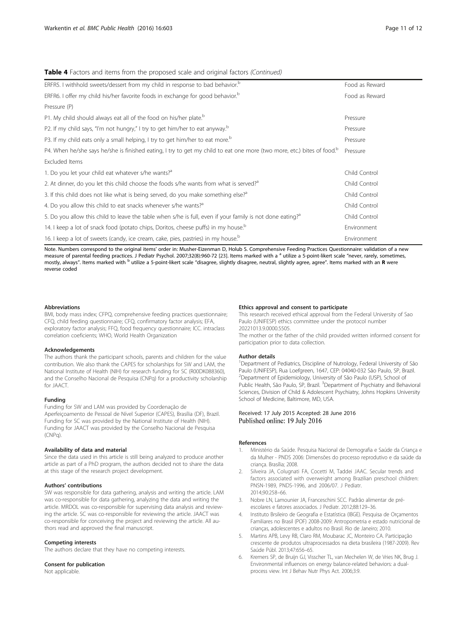# <span id="page-10-0"></span>Table 4 Factors and items from the proposed scale and original factors (Continued)

| ERFR5. I withhold sweets/dessert from my child in response to bad behavior. <sup>b</sup>                                           | Food as Reward |
|------------------------------------------------------------------------------------------------------------------------------------|----------------|
| ERFR6. I offer my child his/her favorite foods in exchange for good behavior. <sup>b</sup>                                         | Food as Reward |
| Pressure (P)                                                                                                                       |                |
| P1. My child should always eat all of the food on his/her plate. <sup>b</sup>                                                      | Pressure       |
| P2. If my child says, "I'm not hungry," I try to get him/her to eat anyway. <sup>b</sup>                                           | Pressure       |
| P3. If my child eats only a small helping, I try to get him/her to eat more. <sup>b</sup>                                          | Pressure       |
| P4. When he/she says he/she is finished eating, I try to get my child to eat one more (two more, etc.) bites of food. <sup>b</sup> | Pressure       |
| Excluded Items                                                                                                                     |                |
| 1. Do you let your child eat whatever s/he wants? <sup>3</sup>                                                                     | Child Control  |
| 2. At dinner, do you let this child choose the foods s/he wants from what is served? <sup>a</sup>                                  | Child Control  |
| 3. If this child does not like what is being served, do you make something else? <sup>3</sup>                                      | Child Control  |
| 4. Do you allow this child to eat snacks whenever s/he wants? <sup>3</sup>                                                         | Child Control  |
| 5. Do you allow this child to leave the table when s/he is full, even if your family is not done eating? <sup>a</sup>              | Child Control  |
| 14. I keep a lot of snack food (potato chips, Doritos, cheese puffs) in my house. <sup>b</sup>                                     | Environment    |
| 16. I keep a lot of sweets (candy, ice cream, cake, pies, pastries) in my house. <sup>b</sup>                                      | Environment    |

Note. Numbers correspond to the original items' order in: Musher-Eizenman D, Holub S. Comprehensive Feeding Practices Questionnaire: validation of a new measure of parental feeding practices. J Pediatr Psychol. 2007;32(8):960-72 [\[23](#page-11-0)]. Items marked with a <sup>a</sup> utilize a 5-point-likert scale "never, rarely, sometimes, mostly, always". Items marked with <sup>b</sup> utilize a 5-point-likert scale "disagree, slightly disagree, neutral, slightly agree, agree". Items marked with an R were reverse coded

#### **Abbreviations**

BMI, body mass index; CFPQ, comprehensive feeding practices questionnaire; CFQ, child feeding questionnaire; CFQ, confirmatory factor analysis; EFA, exploratory factor analysis; FFQ, food frequency questionnaire; ICC. intraclass correlation coeficients; WHO, World Health Organization

### Acknowledgements

The authors thank the participant schools, parents and children for the value contribution. We also thank the CAPES for scholarships for SW and LAM, the National Institute of Health (NIH) for research funding for SC (R00DK088360), and the Conselho Nacional de Pesquisa (CNPq) for a productivity scholarship for JAACT.

### Funding

Funding for SW and LAM was provided by Coordenação de Aperfeiçoamento de Pessoal de Nível Superior (CAPES), Brasília (DF), Brazil. Funding for SC was provided by the National Institute of Health (NIH). Funding for JAACT was provided by the Conselho Nacional de Pesquisa (CNPq).

### Availability of data and material

Since the data used in this article is still being analyzed to produce another article as part of a PhD program, the authors decided not to share the data at this stage of the research project development.

### Authors' contributions

SW was responsible for data gathering, analysis and writing the article. LAM was co-responsible for data gathering, analyzing the data and writing the article. MRDOL was co-responsible for supervising data analysis and reviewing the article. SC was co-responsible for reviewing the article. JAACT was co-responsible for conceiving the project and reviewing the article. All authors read and approved the final manuscript.

### Competing interests

The authors declare that they have no competing interests.

# Consent for publication

Not applicable.

### Ethics approval and consent to participate

This research received ethical approval from the Federal University of Sao Paulo (UNIFESP) ethics committee under the protocol number 20221013.9.0000.5505.

The mother or the father of the child provided written informed consent for participation prior to data collection.

#### Author details

<sup>1</sup>Department of Pediatrics, Discipline of Nutrology, Federal University of São Paulo (UNIFESP), Rua Loefgreen, 1647, CEP: 04040-032 São Paulo, SP, Brazil. 2 Department of Epidemiology, University of São Paulo (USP), School of Public Health, São Paulo, SP, Brazil. <sup>3</sup> Department of Psychiatry and Behavioral Sciences, Division of Child & Adolescent Psychiatry, Johns Hopkins University School of Medicine, Baltimore, MD, USA.

# Received: 17 July 2015 Accepted: 28 June 2016 Published online: 19 July 2016

### References

- 1. Ministério da Saúde. Pesquisa Nacional de Demografia e Saúde da Criança e da Mulher - PNDS 2006: Dimensões do processo reprodutivo e da saúde da criança. Brasília; 2008.
- 2. Silveira JA, Colugnati FA, Cocetti M, Taddei JAAC. Secular trends and factors associated with overweight among Brazilian preschool children: PNSN-1989, PNDS-1996, and 2006/07. J Pediatr. 2014;90:258–66.
- 3. Nobre LN, Lamounier JA, Franceschini SCC. Padrão alimentar de préescolares e fatores associados. J Pediatr. 2012;88:129–36.
- 4. Instituto Brsileiro de Geografia e Estatística (IBGE). Pesquisa de Orçamentos Familiares no Brasil (POF) 2008-2009: Antropometria e estado nutricional de crianças, adolescentes e adultos no Brasil. Rio de Janeiro; 2010.
- 5. Martins APB, Levy RB, Claro RM, Moubarac JC, Monteiro CA. Participação crescente de produtos ultraprocessados na dieta brasileira (1987-2009). Rev Saúde Públ. 2013;47:656–65.
- Kremers SP, de Bruijn GJ, Visscher TL, van Mechelen W, de Vries NK, Brug J. Environmental influences on energy balance-related behaviors: a dualprocess view. Int J Behav Nutr Phys Act. 2006;3:9.